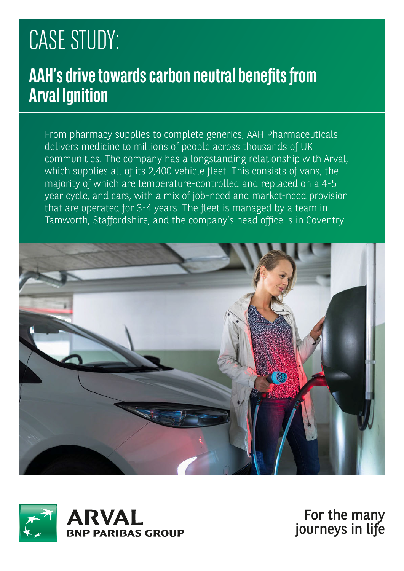# CASE STUDY:

#### **AAH's drive towards carbon neutral benefits from Arval Ignition**

From pharmacy supplies to complete generics, AAH Pharmaceuticals delivers medicine to millions of people across thousands of UK communities. The company has a longstanding relationship with Arval, which supplies all of its 2,400 vehicle fleet. This consists of vans, the majority of which are temperature-controlled and replaced on a 4-5 year cycle, and cars, with a mix of job-need and market-need provision that are operated for 3-4 years. The fleet is managed by a team in Tamworth, Staffordshire, and the company's head office is in Coventry.





For the many journeys in life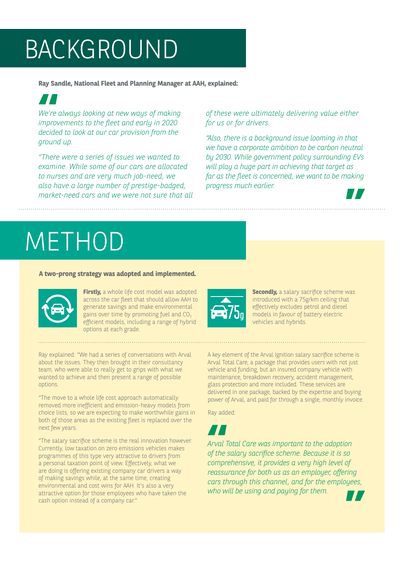## BACKGROUND

**Ray Sandle, National Fleet and Planning Manager at AAH, explained:** 



*We're always looking at new ways of making improvements to the fleet and early in 2020 decided to look at our car provision from the ground up. We're*<br>**improv**<br>decide

*"There were a series of issues we wanted to examine. While some of our cars are allocated to nurses and are very much job-need, we also have a large number of prestige-badged, market-need cars and we were not sure that all* 

*of these were ultimately delivering value either for us or for drivers.*

*"Also, there is a background issue looming in that we have a corporate ambition to be carbon neutral by 2030. While government policy surrounding EVs will play a huge part in achieving that target as far as the fleet is concerned, we want to be making progress much earlier. progress much earlier.*



## METHOD

#### **A two-prong strategy was adopted and implemented.**



**Firstly,** a whole life cost model was adopted across the car fleet that should allow AAH to generate savings and make environmental gains over time by promoting fuel and  $CO<sub>2</sub>$ efficient models, including a range of hybrid options at each grade.

Ray explained: "We had a series of conversations with Arval about the issues. They then brought in their consultancy team, who were able to really get to grips with what we wanted to achieve and then present a range of possible options.

"The move to a whole life cost approach automatically removed more inefficient and emission-heavy models from choice lists, so we are expecting to make worthwhile gains in both of those areas as the existing fleet is replaced over the next few years.

"The salary sacrifice scheme is the real innovation however. Currently, low taxation on zero emissions vehicles makes programmes of this type very attractive to drivers from a personal taxation point of view. Effectively, what we are doing is offering existing company car drivers a way of making savings while, at the same time, creating environmental and cost wins for AAH. It's also a very attractive option for those employees who have taken the cash option instead of a company car."

A key element of the Arval Ignition salary sacrifice scheme is Arval Total Care, a package that provides users with not just vehicle and funding, but an insured company vehicle with maintenance, breakdown recovery, accident management, glass protection and more included. These services are delivered in one package, backed by the expertise and buying power of Arval, and paid for through a single, monthly invoice.

vehicles and hybrids.

**Secondly,** a salary sacrifice scheme was introduced with a 75g/km ceiling that effectively excludes petrol and diesel models in favour of battery electric

Ray added:



*Arval Total Care was important to the adoption of the salary sacrifice scheme. Because it is so comprehensive, it provides a very high level of reassurance for both us as an employer, offering cars through this channel, and for the employees, who will be using and paying for them.* ring<br><sup>yees,</sup><br>■■ **ATT**<br>Arval<br>of the